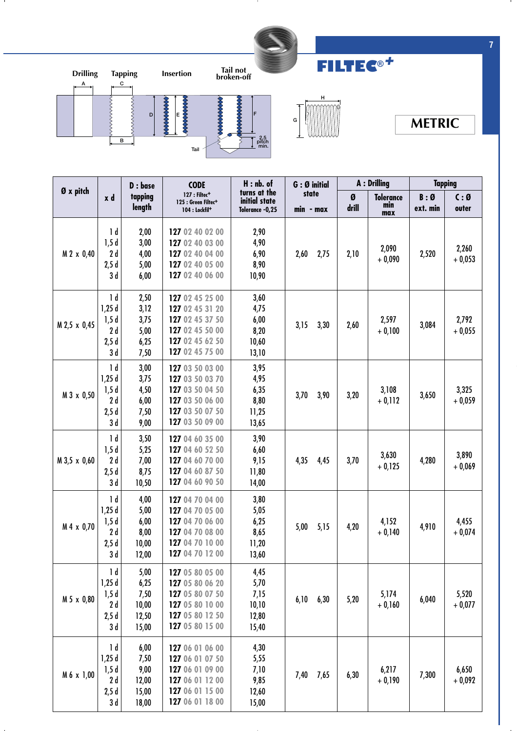

л.





**FILTEC®***+*

## **METRIC**

|              |                                                      | D : base<br>tapping<br>length                   | <b>CODE</b><br>127 : Filtec <sup>+</sup><br>125 : Green Filtec <sup>+</sup><br>104 : Lockfil <sup>+</sup>      | $H:$ nb. of<br>turns at the<br>initial state<br>Tolerance -0,25 | $G:Ø$ initial      |            | A : Drilling                   |                 | <b>Tapping</b>          |  |
|--------------|------------------------------------------------------|-------------------------------------------------|----------------------------------------------------------------------------------------------------------------|-----------------------------------------------------------------|--------------------|------------|--------------------------------|-----------------|-------------------------|--|
| Ø x pitch    | x d                                                  |                                                 |                                                                                                                |                                                                 | state<br>min - max | Ø<br>drill | <b>Tolerance</b><br>min<br>max | B:Ø<br>ext. min | $C: \emptyset$<br>outer |  |
| M 2 x 0,40   | 1 d<br>1,5d<br>2d<br>2,5d<br>3 d                     | 2,00<br>3,00<br>4,00<br>5,00<br>6,00            | 127 02 40 02 00<br>127 02 40 03 00<br>127 02 40 04 00<br>127 02 40 05 00<br>127 02 40 06 00                    | 2,90<br>4,90<br>6,90<br>8,90<br>10,90                           | 2,60<br>2,75       | 2,10       | 2,090<br>$+0,090$              | 2,520           | 2,260<br>$+0,053$       |  |
| M 2,5 x 0,45 | 1 <sub>d</sub><br>1,25d<br>1,5d<br>2d<br>2,5d<br>3 d | 2,50<br>3,12<br>3,75<br>5,00<br>6,25<br>7,50    | 127 02 45 25 00<br>127 02 45 31 20<br>127 02 45 37 50<br>127 02 45 50 00<br>127 02 45 62 50<br>127 02 45 75 00 | 3,60<br>4,75<br>6,00<br>8,20<br>10,60<br>13,10                  | 3,15<br>3,30       | 2,60       | 2,597<br>$+0,100$              | 3,084           | 2,792<br>$+0,055$       |  |
| M 3 x 0,50   | 1 <sub>d</sub><br>1,25d<br>1,5d<br>2d<br>2,5d<br>3 d | 3,00<br>3,75<br>4,50<br>6,00<br>7,50<br>9,00    | 127 03 50 03 00<br>127 03 50 03 70<br>127 03 50 04 50<br>127 03 50 06 00<br>127 03 50 07 50<br>127 03 50 09 00 | 3,95<br>4,95<br>6,35<br>8,80<br>11,25<br>13,65                  | 3,70<br>3,90       | 3,20       | 3,108<br>$+0,112$              | 3,650           | 3,325<br>$+0,059$       |  |
| M 3,5 x 0,60 | 1 <sub>d</sub><br>1,5d<br>2d<br>2,5d<br>3 d          | 3,50<br>5,25<br>7,00<br>8,75<br>10,50           | 127 04 60 35 00<br>127 04 60 52 50<br>127 04 60 70 00<br>127 04 60 87 50<br>127 04 60 90 50                    | 3,90<br>6,60<br>9,15<br>11,80<br>14,00                          | 4,35<br>4,45       | 3,70       | 3,630<br>$+0,125$              | 4,280           | 3,890<br>$+0,069$       |  |
| M 4 x 0,70   | 1 <sub>d</sub><br>1,25d<br>1,5d<br>2d<br>2,5d<br>3 d | 4,00<br>5,00<br>6,00<br>8,00<br>10,00<br>12,00  | 127 04 70 04 00<br>127 04 70 05 00<br>127 04 70 06 00<br>127 04 70 08 00<br>127 04 70 10 00<br>127 04 70 12 00 | 3,80<br>5,05<br>6,25<br>8,65<br>11,20<br>13,60                  | 5,00<br>5,15       | 4,20       | 4,152<br>$+0,140$              | 4,910           | 4,455<br>$+0,074$       |  |
| M 5 x 0,80   | 1 d<br>1,25d<br>1,5d<br>2d<br>2,5d<br>3 d            | 5,00<br>6,25<br>7,50<br>10,00<br>12,50<br>15,00 | 127 05 80 05 00<br>127 05 80 06 20<br>127 05 80 07 50<br>127 05 80 10 00<br>127 05 80 12 50<br>127 05 80 15 00 | 4,45<br>5,70<br>7,15<br>10, 10<br>12,80<br>15,40                | 6,10<br>6,30       | 5,20       | 5,174<br>$+0,160$              | 6,040           | 5,520<br>$+0,077$       |  |
| M 6 x 1,00   | 1 d<br>1,25d<br>1,5d<br>2d<br>2,5d<br>3 d            | 6,00<br>7,50<br>9,00<br>12,00<br>15,00<br>18,00 | 127 06 01 06 00<br>127 06 01 07 50<br>127 06 01 09 00<br>127 06 01 12 00<br>127 06 01 15 00<br>127 06 01 18 00 | 4,30<br>5,55<br>7,10<br>9,85<br>12,60<br>15,00                  | 7,40<br>7,65       | 6,30       | 6,217<br>$+0,190$              | 7,300           | 6,650<br>$+0,092$       |  |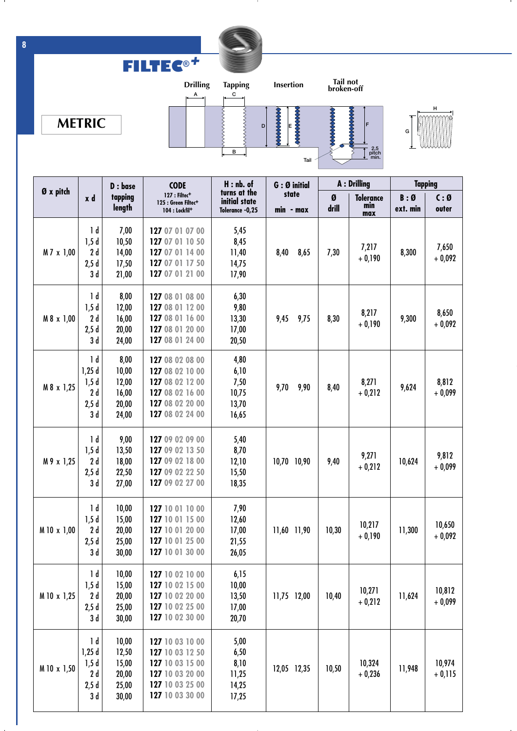

- 11

**FILTEC®***+*







.

|             |                                                      | D : base                                           | <b>CODE</b>                                                                                                    | $H:$ nb. of                                      | $G:Ø$ initial      | A : Drilling |                                | <b>Tapping</b>  |                         |
|-------------|------------------------------------------------------|----------------------------------------------------|----------------------------------------------------------------------------------------------------------------|--------------------------------------------------|--------------------|--------------|--------------------------------|-----------------|-------------------------|
| Ø x pitch   | x d                                                  | tapping<br>length                                  | 127 : Filtec <sup>+</sup><br>125 : Green Filtec <sup>+</sup><br>104 : Lockfil <sup>+</sup>                     | turns at the<br>initial state<br>Tolerance -0,25 | state<br>min - max | Ø<br>drill   | <b>Tolerance</b><br>min<br>max | B:Ø<br>ext. min | $C: \emptyset$<br>outer |
| M 7 x 1,00  | 1 <sub>d</sub><br>1,5d<br>2d<br>2,5d<br>3 d          | 7,00<br>10,50<br>14,00<br>17,50<br>21,00           | 127 07 01 07 00<br>127 07 01 10 50<br>127 07 01 14 00<br>127 07 01 17 50<br>127 07 01 21 00                    | 5,45<br>8,45<br>11,40<br>14,75<br>17,90          | 8,40<br>8,65       | 7,30         | 7,217<br>$+0,190$              | 8,300           | 7,650<br>$+0,092$       |
| M 8 x 1,00  | 1 d<br>1,5d<br>2d<br>2,5d<br>3 d                     | 8,00<br>12,00<br>16,00<br>20,00<br>24,00           | 127 08 01 08 00<br>127 08 01 12 00<br>127 08 01 16 00<br>127 08 01 20 00<br>127 08 01 24 00                    | 6,30<br>9,80<br>13,30<br>17,00<br>20,50          | 9,45<br>9,75       | 8,30         | 8,217<br>$+0,190$              | 9,300           | 8,650<br>$+0,092$       |
| M 8 x 1,25  | 1 d<br>1,25d<br>1,5d<br>2d<br>2,5d<br>3 d            | 8,00<br>10,00<br>12,00<br>16,00<br>20,00<br>24,00  | 127 08 02 08 00<br>127 08 02 10 00<br>127 08 02 12 00<br>127 08 02 16 00<br>127 08 02 20 00<br>127 08 02 24 00 | 4,80<br>6,10<br>7,50<br>10,75<br>13,70<br>16,65  | 9,70<br>9,90       | 8,40         | 8,271<br>$+0,212$              | 9,624           | 8,812<br>$+0,099$       |
| M 9 x 1,25  | $\mathsf{Id}$<br>1,5d<br>2d<br>2,5d<br>3 d           | 9,00<br>13,50<br>18,00<br>22,50<br>27,00           | 127 09 02 09 00<br>127 09 02 13 50<br>127 09 02 18 00<br>127 09 02 22 50<br>127 09 02 27 00                    | 5,40<br>8,70<br>12,10<br>15,50<br>18,35          | 10,70 10,90        | 9,40         | 9,271<br>$+0,212$              | 10,624          | 9,812<br>$+0,099$       |
| M 10 x 1,00 | 1 <sub>d</sub><br>1,5d<br>2d<br>2,5d<br>3 d          | 10,00<br>15,00<br>20,00<br>25,00<br>30,00          | 127 10 01 10 00<br>127 10 01 15 00<br>127 10 01 20 00<br>127 10 01 25 00<br>127 10 01 30 00                    | 7,90<br>12,60<br>17,00<br>21,55<br>26,05         | 11,60 11,90        | 10,30        | 10,217<br>$+0,190$             | 11,300          | 10,650<br>$+0,092$      |
| M 10 x 1,25 | $\mathsf{1}\mathsf{d}$<br>1,5d<br>2d<br>2,5d<br>3d   | 10,00<br>15,00<br>20,00<br>25,00<br>30,00          | 127 10 02 10 00<br>127 10 02 15 00<br>127 10 02 20 00<br>127 10 02 25 00<br>127 10 02 30 00                    | 6,15<br>10,00<br>13,50<br>17,00<br>20,70         | 11,75 12,00        | 10,40        | 10,271<br>$+0,212$             | 11,624          | 10,812<br>$+0,099$      |
| M 10 x 1,50 | 1 <sub>d</sub><br>1,25d<br>1,5d<br>2d<br>2,5d<br>3 d | 10,00<br>12,50<br>15,00<br>20,00<br>25,00<br>30,00 | 127 10 03 10 00<br>127 10 03 12 50<br>127 10 03 15 00<br>127 10 03 20 00<br>127 10 03 25 00<br>127 10 03 30 00 | 5,00<br>6,50<br>8,10<br>11,25<br>14,25<br>17,25  | 12,05 12,35        | 10,50        | 10,324<br>$+0,236$             | 11,948          | 10,974<br>$+0,115$      |

- 11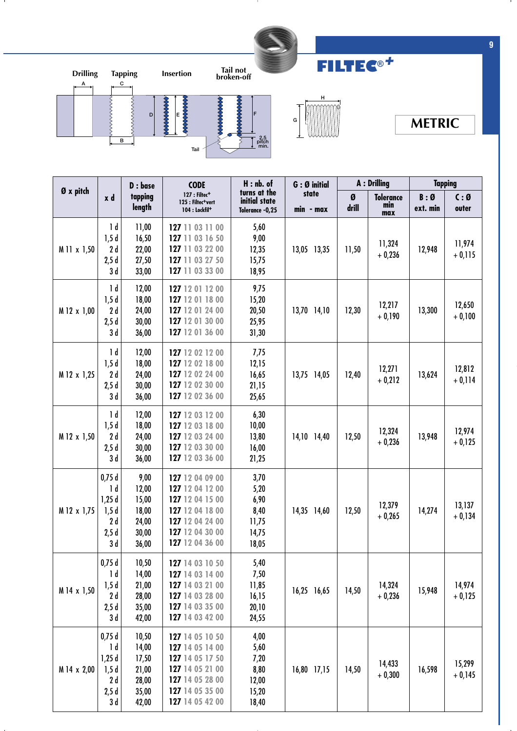

л.



![](_page_2_Picture_2.jpeg)

**FILTEC®***+*

## **METRIC**

|             |                                                                | D : base                                                    | $H:$ nb. of<br><b>CODE</b><br>turns at the<br>127 : Filtec+<br>initial state<br>125 : Filtec <sup>+</sup> vert<br>104 : Lockfil <sup>+</sup> |                                                         | G : Ø initial      | A : Drilling |                                | <b>Tapping</b>  |                            |
|-------------|----------------------------------------------------------------|-------------------------------------------------------------|----------------------------------------------------------------------------------------------------------------------------------------------|---------------------------------------------------------|--------------------|--------------|--------------------------------|-----------------|----------------------------|
| Ø x pitch   | x d                                                            | tapping<br>length                                           |                                                                                                                                              | Tolerance -0,25                                         | state<br>min - max | Ø<br>drill   | <b>Tolerance</b><br>min<br>max | B:Ø<br>ext. min | $C: \mathfrak{g}$<br>outer |
| M 11 x 1,50 | 1 d<br>1,5d<br>2 d<br>2,5d<br>3 d                              | 11,00<br>16,50<br>22,00<br>27,50<br>33,00                   | 127 11 03 11 00<br>127 11 03 16 50<br>127 11 03 22 00<br>127 11 03 27 50<br>127 11 03 33 00                                                  | 5,60<br>9,00<br>12,35<br>15,75<br>18,95                 | 13,05 13,35        | 11,50        | 11,324<br>$+0,236$             | 12,948          | 11,974<br>$+0,115$         |
| M 12 x 1,00 | 1 d<br>1,5d<br>2d<br>2,5d<br>3 d                               | 12,00<br>18,00<br>24,00<br>30,00<br>36,00                   | 127 12 01 12 00<br>127 12 01 18 00<br>127 12 01 24 00<br>127 12 01 30 00<br>127 12 01 36 00                                                  | 9,75<br>15,20<br>20,50<br>25,95<br>31,30                | 13,70 14,10        | 12,30        | 12,217<br>$+0,190$             | 13,300          | 12,650<br>$+0,100$         |
| M 12 x 1,25 | 1 d<br>1,5d<br>2d<br>2,5d<br>3 d                               | 12,00<br>18,00<br>24,00<br>30,00<br>36,00                   | 127 12 02 12 00<br>127 12 02 18 00<br>127 12 02 24 00<br>127 12 02 30 00<br>127 12 02 36 00                                                  | 7,75<br>12,15<br>16,65<br>21,15<br>25,65                | 13,75 14,05        | 12,40        | 12,271<br>$+0,212$             | 13,624          | 12,812<br>$+ 0,114$        |
| M 12 x 1,50 | 1 <sub>d</sub><br>1,5d<br>2d<br>2,5d<br>3 d                    | 12,00<br>18,00<br>24,00<br>30,00<br>36,00                   | 127 12 03 12 00<br>127 12 03 18 00<br>127 12 03 24 00<br>127 12 03 30 00<br>127 12 03 36 00                                                  | 6,30<br>10,00<br>13,80<br>16,00<br>21,25                | 14,10 14,40        | 12,50        | 12,324<br>$+0,236$             | 13,948          | 12,974<br>$+0,125$         |
| M 12 x 1,75 | 0,75d<br>1 <sub>d</sub><br>1,25d<br>1,5d<br>2 d<br>2,5d<br>3 d | 9,00<br>12,00<br>15,00<br>18,00<br>24,00<br>30,00<br>36,00  | 127 12 04 09 00<br>127 12 04 12 00<br>127 12 04 15 00<br>127 12 04 18 00<br>127 12 04 24 00<br>127 12 04 30 00<br>127 12 04 36 00            | 3,70<br>5,20<br>6,90<br>8,40<br>11,75<br>14,75<br>18,05 | 14,35 14,60        | 12,50        | 12,379<br>$+0,265$             | 14,274          | 13,137<br>$+0,134$         |
| M 14 x 1,50 | 0,75d<br>1 d<br>1,5d<br>2d<br>2,5d<br>3 d                      | 10,50<br>14,00<br>21,00<br>28,00<br>35,00<br>42,00          | 127 14 03 10 50<br>127 14 03 14 00<br>127 14 03 21 00<br>127 14 03 28 00<br>127 14 03 35 00<br>127 14 03 42 00                               | 5,40<br>7,50<br>11,85<br>16,15<br>20,10<br>24,55        | 16,25 16,65        | 14,50        | 14,324<br>$+0,236$             | 15,948          | 14,974<br>$+0,125$         |
| M 14 x 2,00 | 0,75d<br>1 d<br>1,25d<br>1,5d<br>2d<br>2,5d<br>3 d             | 10,50<br>14,00<br>17,50<br>21,00<br>28,00<br>35,00<br>42,00 | 127 14 05 10 50<br>127 14 05 14 00<br>127 14 05 17 50<br>127 14 05 21 00<br>127 14 05 28 00<br>127 14 05 35 00<br>127 14 05 42 00            | 4,00<br>5,60<br>7,20<br>8,80<br>12,00<br>15,20<br>18,40 | 16,80 17,15        | 14,50        | 14,433<br>$+0,300$             | 16,598          | 15,299<br>$+0,145$         |

**9**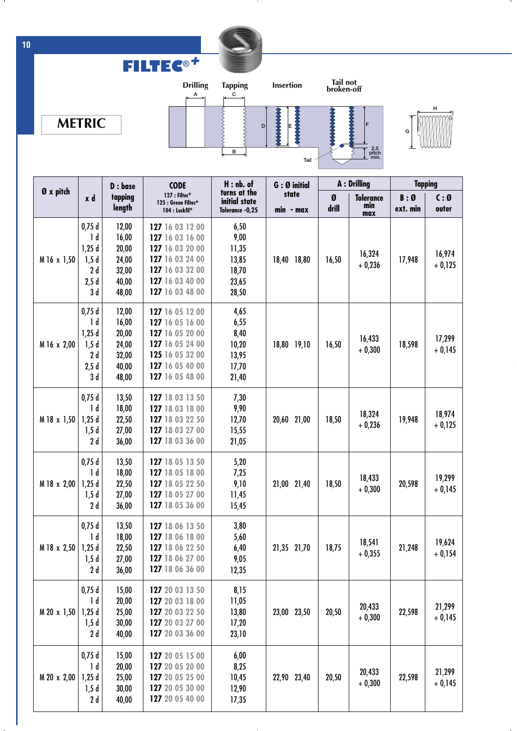![](_page_3_Picture_0.jpeg)

- 11

**FILTEC®***+*

![](_page_3_Figure_1.jpeg)

![](_page_3_Figure_2.jpeg)

![](_page_3_Figure_3.jpeg)

 $\mathbf{I}$ 

| Ø x pitch   |                                                                | D : base                                                    | <b>CODE</b>                                                                                                                       | $H:$ nb. of                                               | G: Ø initial       | A : Drilling |                                | <b>Tapping</b>  |                         |
|-------------|----------------------------------------------------------------|-------------------------------------------------------------|-----------------------------------------------------------------------------------------------------------------------------------|-----------------------------------------------------------|--------------------|--------------|--------------------------------|-----------------|-------------------------|
|             | x d                                                            | tapping<br>length                                           | 127 : Filtec <sup>+</sup><br>125 : Green Filtec <sup>+</sup><br>104 : Lockfil <sup>+</sup>                                        | turns at the<br>initial state<br>Tolerance -0,25          | state<br>min - max | Ø<br>drill   | <b>Tolerance</b><br>min<br>max | B:Ø<br>ext. min | $C: \emptyset$<br>outer |
| M 16 x 1,50 | 0,75d<br>1 d<br>1,25d<br>1,5d<br>2d<br>2,5d<br>3 d             | 12,00<br>16,00<br>20,00<br>24,00<br>32,00<br>40,00<br>48,00 | 127 16 03 12 00<br>127 16 03 16 00<br>127 16 03 20 00<br>127 16 03 24 00<br>127 16 03 32 00<br>127 16 03 40 00<br>127 16 03 48 00 | 6,50<br>9,00<br>11,35<br>13,85<br>18,70<br>23,65<br>28,50 | 18,40 18,80        | 16,50        | 16,324<br>$+0,236$             | 17,948          | 16,974<br>$+0,125$      |
| M 16 x 2,00 | 0,75d<br>1 <sub>d</sub><br>1,25d<br>1,5d<br>2 d<br>2,5d<br>3 d | 12,00<br>16,00<br>20,00<br>24,00<br>32,00<br>40,00<br>48,00 | 127 16 05 12 00<br>127 16 05 16 00<br>127 16 05 20 00<br>127 16 05 24 00<br>125 16 05 32 00<br>127 16 05 40 00<br>127 16 05 48 00 | 4,65<br>6,55<br>8,40<br>10,20<br>13,95<br>17,70<br>21,40  | 18,80 19,10        | 16,50        | 16,433<br>$+0,300$             | 18,598          | 17,299<br>$+0,145$      |
| M 18 x 1,50 | 0,75d<br>1 <sub>d</sub><br>1,25d<br>1,5d<br>2 d                | 13,50<br>18,00<br>22,50<br>27,00<br>36,00                   | 127 18 03 13 50<br>127 18 03 18 00<br>127 18 03 22 50<br>127 18 03 27 00<br>127 18 03 36 00                                       | 7,30<br>9,90<br>12,70<br>15,55<br>21,05                   | 20,60 21,00        | 18,50        | 18,324<br>$+0,236$             | 19,948          | 18,974<br>$+0,125$      |
| M 18 x 2,00 | 0,75d<br>1 <sub>d</sub><br>1,25d<br>1,5d<br>2d                 | 13,50<br>18,00<br>22,50<br>27,00<br>36,00                   | 127 18 05 13 50<br>127 18 05 18 00<br>127 18 05 22 50<br>127 18 05 27 00<br>127 18 05 36 00                                       | 5,20<br>7,25<br>9,10<br>11,45<br>15,45                    | 21,00 21,40        | 18,50        | 18,433<br>$+0,300$             | 20,598          | 19,299<br>$+0,145$      |
| M 18 x 2,50 | 0,75d<br>1 <sub>d</sub><br>1,25d<br>1,5d<br>2 d                | 13,50<br>18,00<br>22,50<br>27,00<br>36,00                   | 127 18 06 13 50<br>127 18 06 18 00<br>127 18 06 22 50<br>127 18 06 27 00<br>127 18 06 36 00                                       | 3,80<br>5,60<br>6,40<br>9,05<br>12,35                     | 21,35 21,70        | 18,75        | 18,541<br>$+0,355$             | 21,248          | 19,624<br>$+0,154$      |
| M 20 x 1,50 | 0,75d<br>1 d<br>1,25d<br>1,5d<br>2 d                           | 15,00<br>20,00<br>25,00<br>30,00<br>40,00                   | 127 20 03 13 50<br>127 20 03 18 00<br>127 20 03 22 50<br>127 20 03 27 00<br>127 20 03 36 00                                       | 8,15<br>11,05<br>13,80<br>17,20<br>23,10                  | 23,00 23,50        | 20,50        | 20,433<br>$+0,300$             | 22,598          | 21,299<br>$+0,145$      |
| M 20 x 2,00 | 0,75d<br>1 <sub>d</sub><br>1,25d<br>1,5d<br>2 d                | 15,00<br>20,00<br>25,00<br>30,00<br>40,00                   | 127 20 05 15 00<br>127 20 05 20 00<br>127 20 05 25 00<br>127 20 05 30 00<br>127 20 05 40 00                                       | 6,00<br>8,25<br>10,45<br>12,90<br>17,35                   | 22,90 23,40        | 20,50        | 20,433<br>$+0,300$             | 22,598          | 21,299<br>$+0,145$      |

**10**

- 11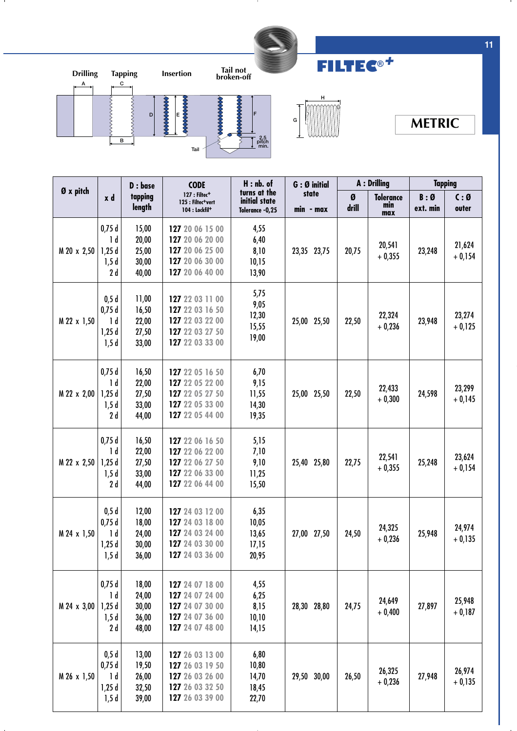![](_page_4_Picture_0.jpeg)

л.

![](_page_4_Figure_1.jpeg)

![](_page_4_Picture_2.jpeg)

**FILTEC®***+*

## **METRIC**

|             |                                                  | D : base                                  | <b>CODE</b><br>127 : Filtec <sup>+</sup><br>125 : Filtec <sup>+</sup> vert<br>104 : Lockfil <sup>+</sup> | $H : nb.$ of<br>turns at the<br>initial state<br>Tolerance -0,25 | G: Ø initial       | <b>A</b> : Drilling |                                | <b>Tapping</b>  |                    |
|-------------|--------------------------------------------------|-------------------------------------------|----------------------------------------------------------------------------------------------------------|------------------------------------------------------------------|--------------------|---------------------|--------------------------------|-----------------|--------------------|
| Ø x pitch   | x d                                              | tapping<br>length                         |                                                                                                          |                                                                  | state<br>min - max | Ø<br>drill          | <b>Tolerance</b><br>min<br>max | B:Ø<br>ext. min | C:Ø<br>outer       |
| M 20 x 2,50 | 0,75d<br>1 <sub>d</sub><br>1,25d<br>1,5d<br>2 d  | 15,00<br>20,00<br>25,00<br>30,00<br>40,00 | 127 20 06 15 00<br>127 20 06 20 00<br>127 20 06 25 00<br>127 20 06 30 00<br>127 20 06 40 00              | 4,55<br>6,40<br>8,10<br>10,15<br>13,90                           | 23,35 23,75        | 20,75               | 20,541<br>$+0,355$             | 23,248          | 21,624<br>$+0,154$ |
| M 22 x 1,50 | 0,5d<br>0,75d<br>1 d<br>1,25d<br>1,5d            | 11,00<br>16,50<br>22,00<br>27,50<br>33,00 | 127 22 03 11 00<br>127 22 03 16 50<br>127 22 03 22 00<br>127 22 03 27 50<br>127 22 03 33 00              | 5,75<br>9,05<br>12,30<br>15,55<br>19,00                          | 25,00 25,50        | 22,50               | 22,324<br>$+0,236$             | 23,948          | 23,274<br>$+0,125$ |
| M 22 x 2,00 | 0,75d<br>1 d<br>1,25d<br>1,5d<br>2d              | 16,50<br>22,00<br>27,50<br>33,00<br>44,00 | 127 22 05 16 50<br>127 22 05 22 00<br>127 22 05 27 50<br>127 22 05 33 00<br>127 22 05 44 00              | 6,70<br>9,15<br>11,55<br>14,30<br>19,35                          | 25,00 25,50        | 22,50               | 22,433<br>$+0,300$             | 24,598          | 23,299<br>$+0,145$ |
| M 22 x 2,50 | 0,75d<br>1 d<br>1,25d<br>1,5d<br>2 d             | 16,50<br>22,00<br>27,50<br>33,00<br>44,00 | 127 22 06 16 50<br>127 22 06 22 00<br>127 22 06 27 50<br>127 22 06 33 00<br>127 22 06 44 00              | 5,15<br>7,10<br>9,10<br>11,25<br>15,50                           | 25,40 25,80        | 22,75               | 22,541<br>$+0,355$             | 25,248          | 23,624<br>$+0,154$ |
| M 24 x 1,50 | 0,5d<br>0,75d<br>1 d<br>1,25d<br>1,5d            | 12,00<br>18,00<br>24,00<br>30,00<br>36,00 | 127 24 03 12 00<br>127 24 03 18 00<br>127 24 03 24 00<br>127 24 03 30 00<br>127 24 03 36 00              | 6,35<br>10,05<br>13,65<br>17,15<br>20,95                         | 27,00 27,50        | 24,50               | 24,325<br>$+0,236$             | 25,948          | 24,974<br>$+0,135$ |
| M 24 x 3,00 | 0,75d<br>1 <sub>d</sub><br>1,25d<br>1,5d<br>2d   | 18,00<br>24,00<br>30,00<br>36,00<br>48,00 | 127 24 07 18 00<br>127 24 07 24 00<br>127 24 07 30 00<br>127 24 07 36 00<br>127 24 07 48 00              | 4,55<br>6,25<br>8,15<br>10, 10<br>14,15                          | 28,30 28,80        | 24,75               | 24,649<br>$+0,400$             | 27,897          | 25,948<br>$+0,187$ |
| M 26 x 1,50 | 0,5d<br>0,75d<br>1 <sub>d</sub><br>1,25d<br>1,5d | 13,00<br>19,50<br>26,00<br>32,50<br>39,00 | 127 26 03 13 00<br>127 26 03 19 50<br>127 26 03 26 00<br>127 26 03 32 50<br>127 26 03 39 00              | 6,80<br>10,80<br>14,70<br>18,45<br>22,70                         | 29,50 30,00        | 26,50               | 26,325<br>$+0,236$             | 27,948          | 26,974<br>$+0,135$ |

**11**